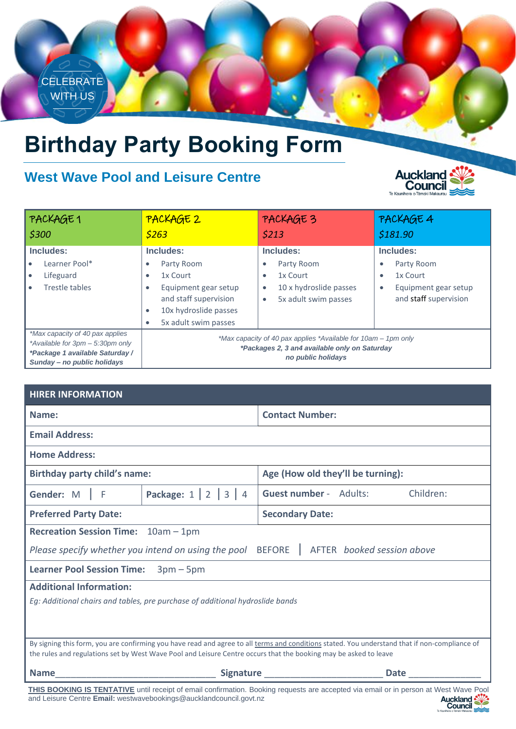

# **Birthday Party Booking Form**

# **West Wave Pool and Leisure Centre**



| PACKAGE1<br>\$300                                                                                                                     | PACKAGE 2<br>5263                                                                                                                                                    | PACKAGE 3<br>\$213                                                                                                | PACKAGE 4<br>\$181.90                                                                                                       |
|---------------------------------------------------------------------------------------------------------------------------------------|----------------------------------------------------------------------------------------------------------------------------------------------------------------------|-------------------------------------------------------------------------------------------------------------------|-----------------------------------------------------------------------------------------------------------------------------|
| Includes:<br>Learner Pool*<br>Lifeguard<br>Trestle tables                                                                             | Includes:<br>Party Room<br>1x Court<br>$\bullet$<br>Equipment gear setup<br>$\bullet$<br>and staff supervision<br>10x hydroslide passes<br>۰<br>5x adult swim passes | Includes:<br>Party Room<br>٠<br>1x Court<br>٠<br>10 x hydroslide passes<br>$\bullet$<br>5x adult swim passes<br>٠ | Includes:<br>Party Room<br>$\bullet$<br>1x Court<br>$\bullet$<br>Equipment gear setup<br>$\bullet$<br>and staff supervision |
| *Max capacity of 40 pax applies<br>*Available for 3pm - 5:30pm only<br>*Package 1 available Saturday /<br>Sunday - no public holidays | *Max capacity of 40 pax applies *Available for 10am – 1pm only<br>*Packages 2, 3 an4 available only on Saturday<br>no public holidays                                |                                                                                                                   |                                                                                                                             |

| <b>HIRER INFORMATION</b>                                                                                                                                                                                                                                          |                                          |                                                   |  |  |
|-------------------------------------------------------------------------------------------------------------------------------------------------------------------------------------------------------------------------------------------------------------------|------------------------------------------|---------------------------------------------------|--|--|
| Name:                                                                                                                                                                                                                                                             |                                          | <b>Contact Number:</b>                            |  |  |
| <b>Email Address:</b>                                                                                                                                                                                                                                             |                                          |                                                   |  |  |
| <b>Home Address:</b>                                                                                                                                                                                                                                              |                                          |                                                   |  |  |
| <b>Birthday party child's name:</b>                                                                                                                                                                                                                               |                                          | Age (How old they'll be turning):                 |  |  |
| Gender: M   F                                                                                                                                                                                                                                                     | <b>Package:</b> $1 \mid 2 \mid 3 \mid 4$ | <b>Guest number - Adults:</b><br>Children:        |  |  |
| <b>Preferred Party Date:</b>                                                                                                                                                                                                                                      |                                          | <b>Secondary Date:</b>                            |  |  |
| Recreation Session Time: 10am - 1pm                                                                                                                                                                                                                               |                                          |                                                   |  |  |
| Please specify whether you intend on using the pool BEFORE   AFTER booked session above                                                                                                                                                                           |                                          |                                                   |  |  |
| Learner Pool Session Time: 3pm - 5pm                                                                                                                                                                                                                              |                                          |                                                   |  |  |
| <b>Additional Information:</b>                                                                                                                                                                                                                                    |                                          |                                                   |  |  |
| Eg: Additional chairs and tables, pre purchase of additional hydroslide bands                                                                                                                                                                                     |                                          |                                                   |  |  |
|                                                                                                                                                                                                                                                                   |                                          |                                                   |  |  |
|                                                                                                                                                                                                                                                                   |                                          |                                                   |  |  |
| By signing this form, you are confirming you have read and agree to all terms and conditions stated. You understand that if non-compliance of<br>the rules and regulations set by West Wave Pool and Leisure Centre occurs that the booking may be asked to leave |                                          |                                                   |  |  |
| <b>Name</b>                                                                                                                                                                                                                                                       |                                          | <b>Signature Signature Executive 1999</b><br>Date |  |  |
| <b>THIS BOOKING IS TENTATIVE</b> until receipt of email confirmation. Booking requests are accepted via email or in person at West Wave Pool<br>and Leisure Centre Email: westwavebookings@aucklandcouncil.govt.nz<br><b>Auckland</b><br>Council                  |                                          |                                                   |  |  |